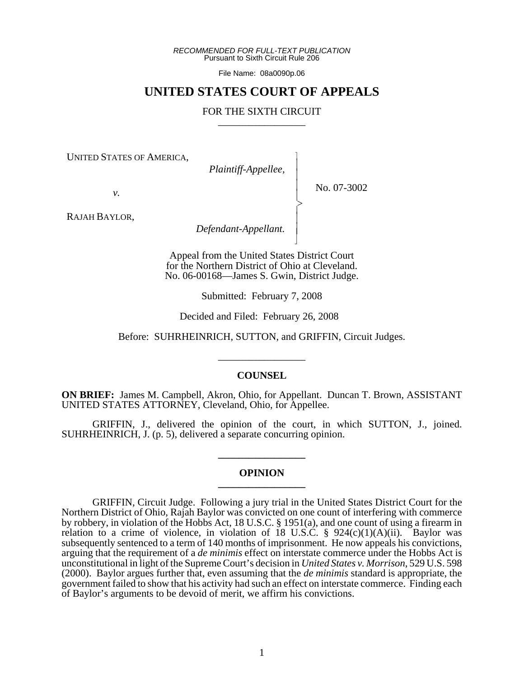*RECOMMENDED FOR FULL-TEXT PUBLICATION* Pursuant to Sixth Circuit Rule 206

File Name: 08a0090p.06

# **UNITED STATES COURT OF APPEALS**

# FOR THE SIXTH CIRCUIT

 $\overline{\phantom{a}}$ - - - -  $\succ$ |<br>|<br>| - - N

UNITED STATES OF AMERICA,

 *Plaintiff-Appellee,*

No. 07-3002

*v.*

RAJAH BAYLOR,

 *Defendant-Appellant.*

Appeal from the United States District Court for the Northern District of Ohio at Cleveland. No. 06-00168—James S. Gwin, District Judge.

Submitted: February 7, 2008

Decided and Filed: February 26, 2008

Before: SUHRHEINRICH, SUTTON, and GRIFFIN, Circuit Judges.

\_\_\_\_\_\_\_\_\_\_\_\_\_\_\_\_\_

# **COUNSEL**

**ON BRIEF:** James M. Campbell, Akron, Ohio, for Appellant. Duncan T. Brown, ASSISTANT UNITED STATES ATTORNEY, Cleveland, Ohio, for Appellee.

GRIFFIN, J., delivered the opinion of the court, in which SUTTON, J., joined. SUHRHEINRICH, J. (p. 5), delivered a separate concurring opinion.

#### **OPINION \_\_\_\_\_\_\_\_\_\_\_\_\_\_\_\_\_**

**\_\_\_\_\_\_\_\_\_\_\_\_\_\_\_\_\_**

GRIFFIN, Circuit Judge. Following a jury trial in the United States District Court for the Northern District of Ohio, Rajah Baylor was convicted on one count of interfering with commerce by robbery, in violation of the Hobbs Act, 18 U.S.C. § 1951(a), and one count of using a firearm in relation to a crime of violence, in violation of 18 U.S.C.  $\S$  924(c)(1)(A)(ii). Baylor was subsequently sentenced to a term of 140 months of imprisonment. He now appeals his convictions, arguing that the requirement of a *de minimis* effect on interstate commerce under the Hobbs Act is unconstitutional in light of the Supreme Court's decision in *United States v. Morrison*, 529 U.S. 598 (2000). Baylor argues further that, even assuming that the *de minimis* standard is appropriate, the government failed to show that his activity had such an effect on interstate commerce. Finding each of Baylor's arguments to be devoid of merit, we affirm his convictions.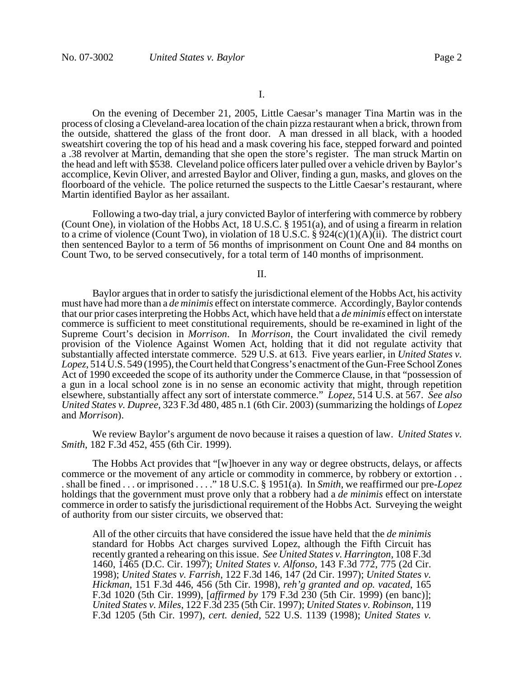I.

On the evening of December 21, 2005, Little Caesar's manager Tina Martin was in the process of closing a Cleveland-area location of the chain pizza restaurant when a brick, thrown from the outside, shattered the glass of the front door. A man dressed in all black, with a hooded sweatshirt covering the top of his head and a mask covering his face, stepped forward and pointed a .38 revolver at Martin, demanding that she open the store's register. The man struck Martin on the head and left with \$538. Cleveland police officers later pulled over a vehicle driven by Baylor's accomplice, Kevin Oliver, and arrested Baylor and Oliver, finding a gun, masks, and gloves on the floorboard of the vehicle. The police returned the suspects to the Little Caesar's restaurant, where Martin identified Baylor as her assailant.

Following a two-day trial, a jury convicted Baylor of interfering with commerce by robbery (Count One), in violation of the Hobbs Act, 18 U.S.C. § 1951(a), and of using a firearm in relation to a crime of violence (Count Two), in violation of 18 U.S.C. §  $924(c)(1)(A)(ii)$ . The district court then sentenced Baylor to a term of 56 months of imprisonment on Count One and 84 months on Count Two, to be served consecutively, for a total term of 140 months of imprisonment.

### II.

Baylor argues that in order to satisfy the jurisdictional element of the Hobbs Act, his activity must have had more than a *de minimis* effect on interstate commerce. Accordingly, Baylor contends that our prior cases interpreting the Hobbs Act, which have held that a *de minimis* effect on interstate commerce is sufficient to meet constitutional requirements, should be re-examined in light of the Supreme Court's decision in *Morrison*. In *Morrison*, the Court invalidated the civil remedy provision of the Violence Against Women Act, holding that it did not regulate activity that substantially affected interstate commerce. 529 U.S. at 613. Five years earlier, in *United States v. Lopez*, 514 U.S. 549 (1995), the Court held that Congress's enactment of the Gun-Free School Zones Act of 1990 exceeded the scope of its authority under the Commerce Clause, in that "possession of a gun in a local school zone is in no sense an economic activity that might, through repetition elsewhere, substantially affect any sort of interstate commerce." *Lopez*, 514 U.S. at 567. *See also United States v. Dupree*, 323 F.3d 480, 485 n.1 (6th Cir. 2003) (summarizing the holdings of *Lopez* and *Morrison*).

We review Baylor's argument de novo because it raises a question of law. *United States v. Smith*, 182 F.3d 452, 455 (6th Cir. 1999).

The Hobbs Act provides that "[w]hoever in any way or degree obstructs, delays, or affects commerce or the movement of any article or commodity in commerce, by robbery or extortion . . . shall be fined . . . or imprisoned . . . ." 18 U.S.C. § 1951(a). In *Smith*, we reaffirmed our pre-*Lopez* holdings that the government must prove only that a robbery had a *de minimis* effect on interstate commerce in order to satisfy the jurisdictional requirement of the Hobbs Act. Surveying the weight of authority from our sister circuits, we observed that:

All of the other circuits that have considered the issue have held that the *de minimis* standard for Hobbs Act charges survived Lopez, although the Fifth Circuit has recently granted a rehearing on this issue. *See United States v. Harrington*, 108 F.3d 1460, 1465 (D.C. Cir. 1997); *United States v. Alfonso*, 143 F.3d 772, 775 (2d Cir. 1998); *United States v. Farrish*, 122 F.3d 146, 147 (2d Cir. 1997); *United States v. Hickman*, 151 F.3d 446, 456 (5th Cir. 1998), *reh'g granted and op. vacated*, 165 F.3d 1020 (5th Cir. 1999), [*affirmed by* 179 F.3d 230 (5th Cir. 1999) (en banc)]; *United States v. Miles*, 122 F.3d 235 (5th Cir. 1997); *United States v. Robinson*, 119 F.3d 1205 (5th Cir. 1997), *cert. denied*, 522 U.S. 1139 (1998); *United States v.*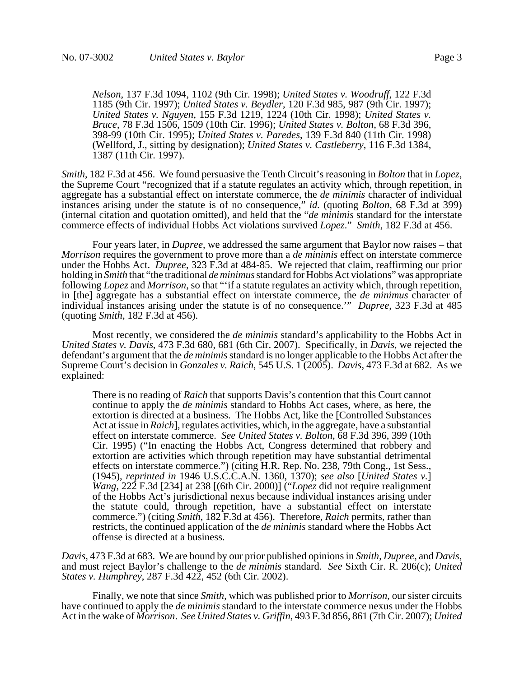*Nelson*, 137 F.3d 1094, 1102 (9th Cir. 1998); *United States v. Woodruff*, 122 F.3d 1185 (9th Cir. 1997); *United States v. Beydler*, 120 F.3d 985, 987 (9th Cir. 1997); *United States v. Nguyen*, 155 F.3d 1219, 1224 (10th Cir. 1998); *United States v. Bruce*, 78 F.3d 1506, 1509 (10th Cir. 1996); *United States v. Bolton*, 68 F.3d 396, 398-99 (10th Cir. 1995); *United States v. Paredes*, 139 F.3d 840 (11th Cir. 1998) (Wellford, J., sitting by designation); *United States v. Castleberry*, 116 F.3d 1384, 1387 (11th Cir. 1997).

*Smith*, 182 F.3d at 456. We found persuasive the Tenth Circuit's reasoning in *Bolton* that in *Lopez*, the Supreme Court "recognized that if a statute regulates an activity which, through repetition, in aggregate has a substantial effect on interstate commerce, the *de minimis* character of individual instances arising under the statute is of no consequence," *id.* (quoting *Bolton*, 68 F.3d at 399) (internal citation and quotation omitted), and held that the "*de minimis* standard for the interstate commerce effects of individual Hobbs Act violations survived *Lopez*." *Smith*, 182 F.3d at 456.

Four years later, in *Dupree*, we addressed the same argument that Baylor now raises – that *Morrison* requires the government to prove more than a *de minimis* effect on interstate commerce under the Hobbs Act. *Dupree*, 323 F.3d at 484-85. We rejected that claim, reaffirming our prior holding in *Smith* that "the traditional *de minimus* standard for Hobbs Act violations" was appropriate following *Lopez* and *Morrison*, so that "'if a statute regulates an activity which, through repetition, in [the] aggregate has a substantial effect on interstate commerce, the *de minimus* character of individual instances arising under the statute is of no consequence.'" *Dupree*, 323 F.3d at 485 (quoting *Smith*, 182 F.3d at 456).

Most recently, we considered the *de minimis* standard's applicability to the Hobbs Act in *United States v. Davis*, 473 F.3d 680, 681 (6th Cir. 2007). Specifically, in *Davis*, we rejected the defendant's argument that the *de minimis* standard is no longer applicable to the Hobbs Act after the Supreme Court's decision in *Gonzales v. Raich*, 545 U.S. 1 (2005). *Davis*, 473 F.3d at 682. As we explained:

There is no reading of *Raich* that supports Davis's contention that this Court cannot continue to apply the *de minimis* standard to Hobbs Act cases, where, as here, the extortion is directed at a business. The Hobbs Act, like the [Controlled Substances Act at issue in *Raich*], regulates activities, which, in the aggregate, have a substantial effect on interstate commerce. *See United States v. Bolton*, 68 F.3d 396, 399 (10th Cir. 1995) ("In enacting the Hobbs Act, Congress determined that robbery and extortion are activities which through repetition may have substantial detrimental effects on interstate commerce.") (citing H.R. Rep. No. 238, 79th Cong., 1st Sess., (1945), *reprinted in* 1946 U.S.C.C.A.N. 1360, 1370); *see also* [*United States v.*] *Wang*, 222 F.3d [234] at 238 [(6th Cir. 2000)] ("*Lopez* did not require realignment of the Hobbs Act's jurisdictional nexus because individual instances arising under the statute could, through repetition, have a substantial effect on interstate commerce.") (citing *Smith*, 182 F.3d at 456). Therefore, *Raich* permits, rather than restricts, the continued application of the *de minimis* standard where the Hobbs Act offense is directed at a business.

Davis, 473 F.3d at 683. We are bound by our prior published opinions in *Smith*, *Dupree*, and *Davis*, and must reject Baylor's challenge to the *de minimis* standard. *See Sixth Cir. R. 206(c); United States v. Humphrey*, 287 F.3d 422, 452 (6th Cir. 2002).

Finally, we note that since *Smith*, which was published prior to *Morrison*, our sister circuits have continued to apply the *de minimis* standard to the interstate commerce nexus under the Hobbs Act in the wake of *Morrison*. *See United States v. Griffin*, 493 F.3d 856, 861 (7th Cir. 2007); *United*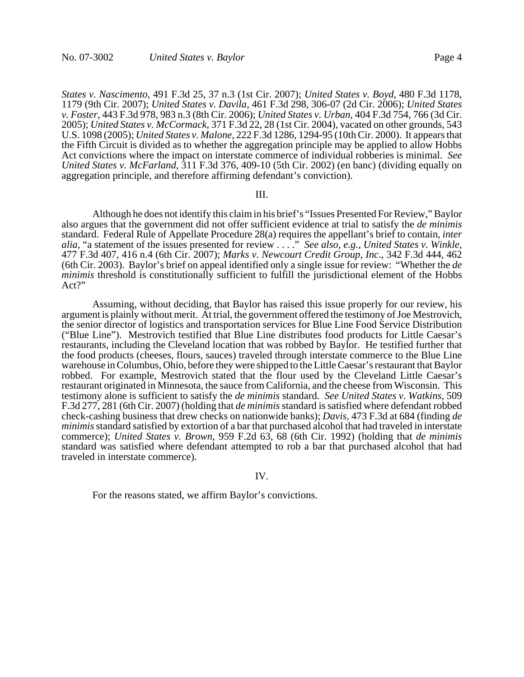*States v. Nascimento*, 491 F.3d 25, 37 n.3 (1st Cir. 2007); *United States v. Boyd*, 480 F.3d 1178, 1179 (9th Cir. 2007); *United States v. Davila*, 461 F.3d 298, 306-07 (2d Cir. 2006); *United States v. Foster*, 443 F.3d 978, 983 n.3 (8th Cir. 2006); *United States v. Urban*, 404 F.3d 754, 766 (3d Cir. 2005); *United States v. McCormack*, 371 F.3d 22, 28 (1st Cir. 2004), vacated on other grounds, 543 U.S. 1098 (2005); *United States v. Malone*, 222 F.3d 1286, 1294-95 (10th Cir. 2000). It appears that the Fifth Circuit is divided as to whether the aggregation principle may be applied to allow Hobbs Act convictions where the impact on interstate commerce of individual robberies is minimal. *See United States v. McFarland*, 311 F.3d 376, 409-10 (5th Cir. 2002) (en banc) (dividing equally on aggregation principle, and therefore affirming defendant's conviction).

#### III.

Although he does not identify this claim in his brief's "Issues Presented For Review," Baylor also argues that the government did not offer sufficient evidence at trial to satisfy the *de minimis* standard. Federal Rule of Appellate Procedure 28(a) requires the appellant's brief to contain, *inter alia*, "a statement of the issues presented for review . . . ." *See also, e.g., United States v. Winkle*, 477 F.3d 407, 416 n.4 (6th Cir. 2007); *Marks v. Newcourt Credit Group, Inc*., 342 F.3d 444, 462 (6th Cir. 2003). Baylor's brief on appeal identified only a single issue for review: "Whether the *de minimis* threshold is constitutionally sufficient to fulfill the jurisdictional element of the Hobbs Act?"

Assuming, without deciding, that Baylor has raised this issue properly for our review, his argument is plainly without merit. At trial, the government offered the testimony of Joe Mestrovich, the senior director of logistics and transportation services for Blue Line Food Service Distribution ("Blue Line"). Mestrovich testified that Blue Line distributes food products for Little Caesar's restaurants, including the Cleveland location that was robbed by Baylor. He testified further that the food products (cheeses, flours, sauces) traveled through interstate commerce to the Blue Line warehouse in Columbus, Ohio, before they were shipped to the Little Caesar's restaurant that Baylor robbed. For example, Mestrovich stated that the flour used by the Cleveland Little Caesar's restaurant originated in Minnesota, the sauce from California, and the cheese from Wisconsin. This testimony alone is sufficient to satisfy the *de minimis* standard. *See United States v. Watkins*, 509 F.3d 277, 281 (6th Cir. 2007) (holding that *de minimis* standard is satisfied where defendant robbed check-cashing business that drew checks on nationwide banks); *Davis*, 473 F.3d at 684 (finding *de minimis* standard satisfied by extortion of a bar that purchased alcohol that had traveled in interstate commerce); *United States v. Brown*, 959 F.2d 63, 68 (6th Cir. 1992) (holding that *de minimis* standard was satisfied where defendant attempted to rob a bar that purchased alcohol that had traveled in interstate commerce).

#### IV.

For the reasons stated, we affirm Baylor's convictions.